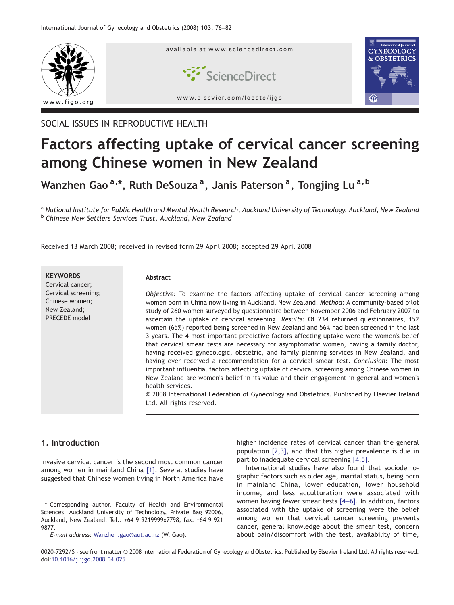

SOCIAL ISSUES IN REPRODUCTIVE HEALTH

# Factors affecting uptake of cervical cancer screening among Chinese women in New Zealand

Wanzhen Gao <sup>a,</sup>\*, Ruth DeSouza <sup>a</sup>, Janis Paterson <sup>a</sup>, Tongjing Lu <sup>a, b</sup>

<sup>a</sup> National Institute for Public Health and Mental Health Research, Auckland University of Technology, Auckland, New Zealand **b Chinese New Settlers Services Trust, Auckland, New Zealand** 

Received 13 March 2008; received in revised form 29 April 2008; accepted 29 April 2008

#### **KEYWORDS**

Cervical cancer; Cervical screening; Chinese women; New Zealand; PRECEDE model

#### Abstract

Objective: To examine the factors affecting uptake of cervical cancer screening among women born in China now living in Auckland, New Zealand. Method: A community-based pilot study of 260 women surveyed by questionnaire between November 2006 and February 2007 to ascertain the uptake of cervical screening. Results: Of 234 returned questionnaires, 152 women (65%) reported being screened in New Zealand and 56% had been screened in the last 3 years. The 4 most important predictive factors affecting uptake were the women's belief that cervical smear tests are necessary for asymptomatic women, having a family doctor, having received gynecologic, obstetric, and family planning services in New Zealand, and having ever received a recommendation for a cervical smear test. Conclusion: The most important influential factors affecting uptake of cervical screening among Chinese women in New Zealand are women's belief in its value and their engagement in general and women's health services.

© 2008 International Federation of Gynecology and Obstetrics. Published by Elsevier Ireland Ltd. All rights reserved.

# 1. Introduction

Invasive cervical cancer is the second most common cancer among women in mainland China [\[1\]](#page-5-0). Several studies have suggested that Chinese women living in North America have higher incidence rates of cervical cancer than the general population [\[2,3\],](#page-5-0) and that this higher prevalence is due in part to inadequate cervical screening [\[4,5\]](#page-5-0).

International studies have also found that sociodemographic factors such as older age, marital status, being born in mainland China, lower education, lower household income, and less acculturation were associated with women having fewer smear tests [4–[6\].](#page-5-0) In addition, factors associated with the uptake of screening were the belief among women that cervical cancer screening prevents cancer, general knowledge about the smear test, concern about pain/discomfort with the test, availability of time,

<sup>⁎</sup> Corresponding author. Faculty of Health and Environmental Sciences, Auckland University of Technology, Private Bag 92006, Auckland, New Zealand. Tel.: +64 9 9219999x7798; fax: +64 9 921 9877.

E-mail address: [Wanzhen.gao@aut.ac.nz](mailto:Wanzhen.gao@aut.ac.nz) (W. Gao).

<sup>0020-7292/\$ -</sup> see front matter © 2008 International Federation of Gynecology and Obstetrics. Published by Elsevier Ireland Ltd. All rights reserved. doi:[10.1016/j.ijgo.2008.04.025](http://dx.doi.org/10.1016/j.ijgo.2008.04.025)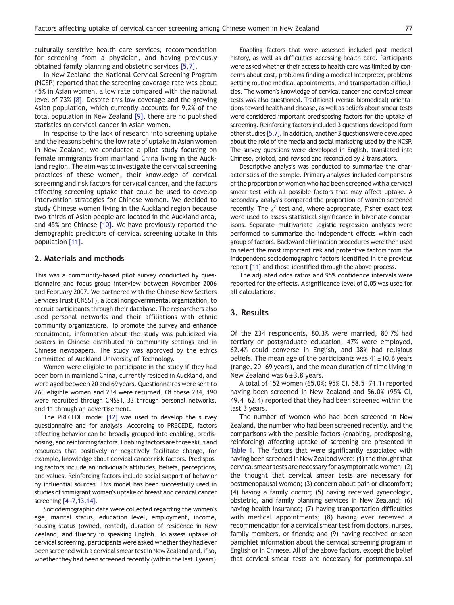culturally sensitive health care services, recommendation for screening from a physician, and having previously obtained family planning and obstetric services [\[5,7\]](#page-5-0).

In New Zealand the National Cervical Screening Program (NCSP) reported that the screening coverage rate was about 45% in Asian women, a low rate compared with the national level of 73% [\[8\]](#page-5-0). Despite this low coverage and the growing Asian population, which currently accounts for 9.2% of the total population in New Zealand [\[9\],](#page-5-0) there are no published statistics on cervical cancer in Asian women.

In response to the lack of research into screening uptake and the reasons behind the low rate of uptake in Asian women in New Zealand, we conducted a pilot study focusing on female immigrants from mainland China living in the Auckland region. The aim was to investigate the cervical screening practices of these women, their knowledge of cervical screening and risk factors for cervical cancer, and the factors affecting screening uptake that could be used to develop intervention strategies for Chinese women. We decided to study Chinese women living in the Auckland region because two-thirds of Asian people are located in the Auckland area, and 45% are Chinese [\[10\]](#page-5-0). We have previously reported the demographic predictors of cervical screening uptake in this population [\[11\]](#page-5-0).

#### 2. Materials and methods

This was a community-based pilot survey conducted by questionnaire and focus group interview between November 2006 and February 2007. We partnered with the Chinese New Settlers Services Trust (CNSST), a local nongovernmental organization, to recruit participants through their database. The researchers also used personal networks and their affiliations with ethnic community organizations. To promote the survey and enhance recruitment, information about the study was publicized via posters in Chinese distributed in community settings and in Chinese newspapers. The study was approved by the ethics committee of Auckland University of Technology.

Women were eligible to participate in the study if they had been born in mainland China, currently resided in Auckland, and were aged between 20 and 69 years. Questionnaires were sent to 260 eligible women and 234 were returned. Of these 234, 190 were recruited through CNSST, 33 through personal networks, and 11 through an advertisement.

The PRECEDE model [\[12\]](#page-5-0) was used to develop the survey questionnaire and for analysis. According to PRECEDE, factors affecting behavior can be broadly grouped into enabling, predisposing, and reinforcing factors. Enabling factors are those skills and resources that positively or negatively facilitate change, for example, knowledge about cervical cancer risk factors. Predisposing factors include an individual's attitudes, beliefs, perceptions, and values. Reinforcing factors include social support of behavior by influential sources. This model has been successfully used in studies of immigrant women's uptake of breast and cervical cancer screening [4–[7,13,14\].](#page-5-0)

Sociodemographic data were collected regarding the women's age, marital status, education level, employment, income, housing status (owned, rented), duration of residence in New Zealand, and fluency in speaking English. To assess uptake of cervical screening, participants were asked whether they had ever been screened with a cervical smear test in New Zealand and, if so, whether they had been screened recently (within the last 3 years).

Enabling factors that were assessed included past medical history, as well as difficulties accessing health care. Participants were asked whether their access to health care was limited by concerns about cost, problems finding a medical interpreter, problems getting routine medical appointments, and transportation difficulties. The women's knowledge of cervical cancer and cervical smear tests was also questioned. Traditional (versus biomedical) orientations toward health and disease, as well as beliefs about smear tests were considered important predisposing factors for the uptake of screening. Reinforcing factors included 3 questions developed from other studies[\[5,7\]](#page-5-0). In addition, another 3 questions were developed about the role of the media and social marketing used by the NCSP. The survey questions were developed in English, translated into Chinese, piloted, and revised and reconciled by 2 translators.

Descriptive analysis was conducted to summarize the characteristics of the sample. Primary analyses included comparisons of the proportion of women who had been screened with a cervical smear test with all possible factors that may affect uptake. A secondary analysis compared the proportion of women screened recently. The  $\chi^2$  test and, where appropriate, Fisher exact test were used to assess statistical significance in bivariate comparisons. Separate multivariate logistic regression analyses were performed to summarize the independent effects within each group of factors. Backward elimination procedures were then used to select the most important risk and protective factors from the independent sociodemographic factors identified in the previous report [\[11\]](#page-5-0) and those identified through the above process.

The adjusted odds ratios and 95% confidence intervals were reported for the effects. A significance level of 0.05 was used for all calculations.

## 3. Results

Of the 234 respondents, 80.3% were married, 80.7% had tertiary or postgraduate education, 47% were employed, 62.4% could converse in English, and 38% had religious beliefs. The mean age of the participants was  $41 \pm 10.6$  years (range, 20–69 years), and the mean duration of time living in New Zealand was  $6 \pm 3.8$  years.

A total of 152 women (65.0%; 95% CI, 58.5–71.1) reported having been screened in New Zealand and 56.0% (95% CI, 49.4–62.4) reported that they had been screened within the last 3 years.

The number of women who had been screened in New Zealand, the number who had been screened recently, and the comparisons with the possible factors (enabling, predisposing, reinforcing) affecting uptake of screening are presented in [Table 1](#page-2-0). The factors that were significantly associated with having been screened in New Zealand were: (1) the thought that cervical smear tests are necessary for asymptomatic women; (2) the thought that cervical smear tests are necessary for postmenopausal women; (3) concern about pain or discomfort; (4) having a family doctor; (5) having received gynecologic, obstetric, and family planning services in New Zealand; (6) having health insurance; (7) having transportation difficulties with medical appointments; (8) having ever received a recommendation for a cervical smear test from doctors, nurses, family members, or friends; and (9) having received or seen pamphlet information about the cervical screening program in English or in Chinese. All of the above factors, except the belief that cervical smear tests are necessary for postmenopausal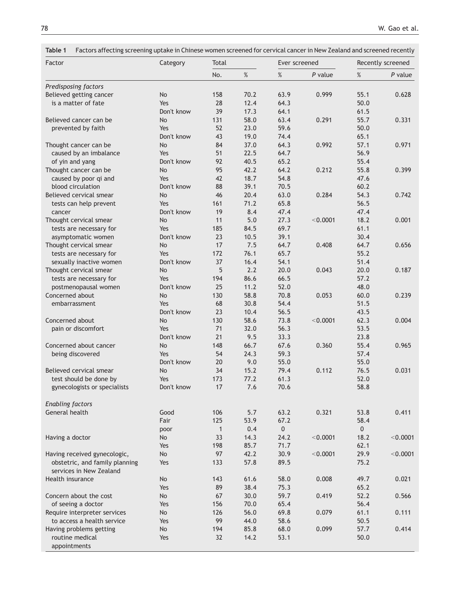| Factor                                                    | Category   | Total |      | Ever screened |          | Recently screened |          |
|-----------------------------------------------------------|------------|-------|------|---------------|----------|-------------------|----------|
|                                                           |            | No.   | %    | $\%$          | P value  | $\%$              | P value  |
| Predisposing factors                                      |            |       |      |               |          |                   |          |
| Believed getting cancer                                   | No         | 158   | 70.2 | 63.9          | 0.999    | 55.1              | 0.628    |
| is a matter of fate                                       | Yes        | 28    | 12.4 | 64.3          |          | 50.0              |          |
|                                                           | Don't know | 39    | 17.3 | 64.1          |          | 61.5              |          |
| Believed cancer can be                                    | No         | 131   | 58.0 | 63.4          | 0.291    | 55.7              | 0.331    |
| prevented by faith                                        | Yes        | 52    | 23.0 | 59.6          |          | 50.0              |          |
|                                                           | Don't know | 43    | 19.0 | 74.4          |          | 65.1              |          |
| Thought cancer can be                                     | No         | 84    | 37.0 | 64.3          | 0.992    | 57.1              | 0.971    |
| caused by an imbalance                                    | Yes        | 51    | 22.5 | 64.7          |          | 56.9              |          |
| of yin and yang                                           | Don't know | 92    | 40.5 | 65.2          |          | 55.4              |          |
| Thought cancer can be                                     | No         | 95    | 42.2 | 64.2          | 0.212    | 55.8              | 0.399    |
| caused by poor qi and                                     | Yes        | 42    | 18.7 | 54.8          |          | 47.6              |          |
| blood circulation                                         | Don't know | 88    | 39.1 | 70.5          |          | 60.2              |          |
| Believed cervical smear                                   | No         | 46    | 20.4 | 63.0          | 0.284    | 54.3              | 0.742    |
| tests can help prevent                                    | Yes        | 161   | 71.2 | 65.8          |          | 56.5              |          |
| cancer                                                    | Don't know | 19    | 8.4  | 47.4          |          | 47.4              |          |
| Thought cervical smear                                    | No         | 11    | 5.0  | 27.3          | < 0.0001 | 18.2              | 0.001    |
| tests are necessary for                                   | Yes        | 185   | 84.5 | 69.7          |          | 61.1              |          |
| asymptomatic women                                        | Don't know | 23    | 10.5 | 39.1          |          | 30.4              |          |
| Thought cervical smear                                    | No         | 17    | 7.5  | 64.7          | 0.408    | 64.7              | 0.656    |
| tests are necessary for                                   | Yes        | 172   | 76.1 | 65.7          |          | 55.2              |          |
| sexually inactive women                                   | Don't know | 37    | 16.4 | 54.1          |          | 51.4              |          |
| Thought cervical smear                                    | No         | 5     | 2.2  | 20.0          | 0.043    | 20.0              | 0.187    |
| tests are necessary for                                   | Yes        | 194   | 86.6 | 66.5          |          | 57.2              |          |
| postmenopausal women                                      | Don't know | 25    | 11.2 | 52.0          |          | 48.0              |          |
| Concerned about                                           | No         | 130   | 58.8 | 70.8          | 0.053    | 60.0              | 0.239    |
| embarrassment                                             | Yes        | 68    | 30.8 | 54.4          |          | 51.5              |          |
|                                                           | Don't know | 23    | 10.4 | 56.5          |          | 43.5              |          |
| Concerned about                                           | No         | 130   | 58.6 | 73.8          | < 0.0001 | 62.3              | 0.004    |
| pain or discomfort                                        | Yes        | 71    | 32.0 | 56.3          |          | 53.5              |          |
|                                                           | Don't know | 21    | 9.5  | 33.3          |          | 23.8              |          |
| Concerned about cancer                                    | No         | 148   | 66.7 | 67.6          | 0.360    | 55.4              | 0.965    |
| being discovered                                          | Yes        | 54    | 24.3 | 59.3          |          | 57.4              |          |
|                                                           | Don't know | 20    | 9.0  | 55.0          |          | 55.0              |          |
| Believed cervical smear                                   | No         | 34    | 15.2 | 79.4          | 0.112    | 76.5              | 0.031    |
| test should be done by                                    | Yes        | 173   | 77.2 | 61.3          |          | 52.0              |          |
| gynecologists or specialists                              | Don't know | 17    | 7.6  | 70.6          |          | 58.8              |          |
| <b>Enabling factors</b>                                   |            |       |      |               |          |                   |          |
| General health                                            | Good       | 106   | 5.7  | 63.2          | 0.321    | 53.8              | 0.411    |
|                                                           | Fair       | 125   | 53.9 | 67.2          |          | 58.4              |          |
|                                                           | poor       | 1     | 0.4  | 0             |          | $\mathbf 0$       |          |
| Having a doctor                                           | No         | 33    | 14.3 | 24.2          | < 0.0001 | 18.2              | < 0.0001 |
|                                                           | Yes        | 198   | 85.7 | 71.7          |          | 62.1              |          |
| Having received gynecologic,                              | No         | 97    | 42.2 | 30.9          | < 0.0001 | 29.9              | < 0.0001 |
| obstetric, and family planning<br>services in New Zealand | Yes        | 133   | 57.8 | 89.5          |          | 75.2              |          |
| Health insurance                                          | No         | 143   | 61.6 | 58.0          | 0.008    | 49.7              | 0.021    |
|                                                           | Yes        | 89    | 38.4 | 75.3          |          | 65.2              |          |
| Concern about the cost                                    | No         | 67    | 30.0 | 59.7          | 0.419    | 52.2              | 0.566    |
| of seeing a doctor                                        | Yes        | 156   | 70.0 | 65.4          |          | 56.4              |          |
| Require interpreter services                              | No         | 126   | 56.0 | 69.8          | 0.079    | 61.1              | 0.111    |
| to access a health service                                | Yes        | 99    | 44.0 | 58.6          |          | 50.5              |          |
| Having problems getting                                   | No         | 194   | 85.8 | 68.0          | 0.099    | 57.7              | 0.414    |
| routine medical                                           | Yes        | 32    | 14.2 | 53.1          |          | 50.0              |          |
| appointments                                              |            |       |      |               |          |                   |          |

<span id="page-2-0"></span>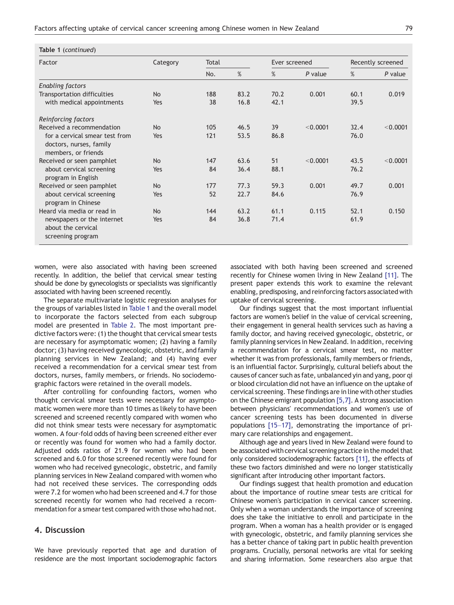| Factor                                                                           | Category       | Total |      | Ever screened |          | Recently screened |           |
|----------------------------------------------------------------------------------|----------------|-------|------|---------------|----------|-------------------|-----------|
|                                                                                  |                | No.   | %    | %             | P value  | %                 | $P$ value |
| Enabling factors                                                                 |                |       |      |               |          |                   |           |
| Transportation difficulties                                                      | N <sub>o</sub> | 188   | 83.2 | 70.2          | 0.001    | 60.1              | 0.019     |
| with medical appointments                                                        | Yes            | 38    | 16.8 | 42.1          |          | 39.5              |           |
| Reinforcing factors                                                              |                |       |      |               |          |                   |           |
| Received a recommendation                                                        | <b>No</b>      | 105   | 46.5 | 39            | < 0.0001 | 32.4              | < 0.0001  |
| for a cervical smear test from<br>doctors, nurses, family<br>members, or friends | Yes            | 121   | 53.5 | 86.8          |          | 76.0              |           |
| Received or seen pamphlet                                                        | <b>No</b>      | 147   | 63.6 | 51            | < 0.0001 | 43.5              | < 0.0001  |
| about cervical screening<br>program in English                                   | Yes            | 84    | 36.4 | 88.1          |          | 76.2              |           |
| Received or seen pamphlet                                                        | <b>No</b>      | 177   | 77.3 | 59.3          | 0.001    | 49.7              | 0.001     |
| about cervical screening<br>program in Chinese                                   | Yes            | 52    | 22.7 | 84.6          |          | 76.9              |           |
| Heard via media or read in                                                       | <b>No</b>      | 144   | 63.2 | 61.1          | 0.115    | 52.1              | 0.150     |
| newspapers or the internet<br>about the cervical<br>screening program            | Yes            | 84    | 36.8 | 71.4          |          | 61.9              |           |

women, were also associated with having been screened recently. In addition, the belief that cervical smear testing should be done by gynecologists or specialists was significantly associated with having been screened recently.

The separate multivariate logistic regression analyses for the groups of variables listed in [Table 1](#page-2-0) and the overall model to incorporate the factors selected from each subgroup model are presented in [Table 2](#page-4-0). The most important predictive factors were: (1) the thought that cervical smear tests are necessary for asymptomatic women; (2) having a family doctor; (3) having received gynecologic, obstetric, and family planning services in New Zealand; and (4) having ever received a recommendation for a cervical smear test from doctors, nurses, family members, or friends. No sociodemographic factors were retained in the overall models.

After controlling for confounding factors, women who thought cervical smear tests were necessary for asymptomatic women were more than 10 times as likely to have been screened and screened recently compared with women who did not think smear tests were necessary for asymptomatic women. A four-fold odds of having been screened either ever or recently was found for women who had a family doctor. Adjusted odds ratios of 21.9 for women who had been screened and 6.0 for those screened recently were found for women who had received gynecologic, obstetric, and family planning services in New Zealand compared with women who had not received these services. The corresponding odds were 7.2 for women who had been screened and 4.7 for those screened recently for women who had received a recommendation for a smear test compared with those who had not.

### 4. Discussion

We have previously reported that age and duration of residence are the most important sociodemographic factors associated with both having been screened and screened recently for Chinese women living in New Zealand [\[11\]](#page-5-0). The present paper extends this work to examine the relevant enabling, predisposing, and reinforcing factors associated with uptake of cervical screening.

Our findings suggest that the most important influential factors are women's belief in the value of cervical screening, their engagement in general health services such as having a family doctor, and having received gynecologic, obstetric, or family planning services in New Zealand. In addition, receiving a recommendation for a cervical smear test, no matter whether it was from professionals, family members or friends, is an influential factor. Surprisingly, cultural beliefs about the causes of cancer such as fate, unbalanced yin and yang, poor qi or blood circulation did not have an influence on the uptake of cervical screening. These findings are in line with other studies on the Chinese emigrant population [\[5,7\]](#page-5-0). A strong association between physicians' recommendations and women's use of cancer screening tests has been documented in diverse populations [15–[17\],](#page-5-0) demonstrating the importance of primary care relationships and engagement.

Although age and years lived in New Zealand were found to be associated with cervical screening practice in the model that only considered sociodemographic factors [\[11\]](#page-5-0), the effects of these two factors diminished and were no longer statistically significant after introducing other important factors.

Our findings suggest that health promotion and education about the importance of routine smear tests are critical for Chinese women's participation in cervical cancer screening. Only when a woman understands the importance of screening does she take the initiative to enroll and participate in the program. When a woman has a health provider or is engaged with gynecologic, obstetric, and family planning services she has a better chance of taking part in public health prevention programs. Crucially, personal networks are vital for seeking and sharing information. Some researchers also argue that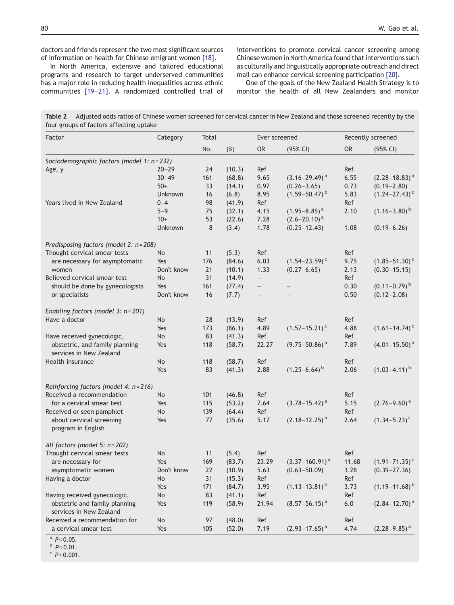<span id="page-4-0"></span>doctors and friends represent the two most significant sources of information on health for Chinese emigrant women [\[18\].](#page-5-0)

In North America, extensive and tailored educational programs and research to target underserved communities has a major role in reducing health inequalities across ethnic communities [19–[21\]](#page-6-0). A randomized controlled trial of interventions to promote cervical cancer screening among Chinese women in North America found that interventions such as culturally and linguistically appropriate outreach and direct mail can enhance cervical screening participation [\[20\].](#page-6-0)

One of the goals of the New Zealand Health Strategy is to monitor the health of all New Zealanders and monitor

| Table 2 Adjusted odds ratios of Chinese women screened for cervical cancer in New Zealand and those screened recently by the |
|------------------------------------------------------------------------------------------------------------------------------|
| four groups of factors affecting uptake                                                                                      |

| Factor                                                    | Category   | Total |        | Ever screened            |                       | Recently screened |                      |
|-----------------------------------------------------------|------------|-------|--------|--------------------------|-----------------------|-------------------|----------------------|
|                                                           |            | No.   | (%)    | <b>OR</b>                | (95% CI)              | <b>OR</b>         | (95% CI)             |
| Sociodemographic factors (model 1: n = 232)               |            |       |        |                          |                       |                   |                      |
| Age, y                                                    | $20 - 29$  | 24    | (10.3) | Ref                      |                       | Ref               |                      |
|                                                           | $30 - 49$  | 161   | (68.8) | 9.65                     | $(3.16 - 29.49)^{a}$  | 6.55              | $(2.28 - 18.83)^{a}$ |
|                                                           | $50+$      | 33    | (14.1) | 0.97                     | $(0.26 - 3.65)$       | 0.73              | $(0.19 - 2.80)$      |
|                                                           | Unknown    | 16    | (6.8)  | 8.95                     | $(1.59 - 50.47)^{b}$  | 5.83              | $(1.24 - 27.43)^c$   |
| Years lived in New Zealand                                | $0 - 4$    | 98    | (41.9) | Ref                      |                       | Ref               |                      |
|                                                           | $5 - 9$    | 75    | (32.1) | 4.15                     | $(1.95 - 8.85)^{a}$   | 2.10              | $(1.16 - 3.80)^{b}$  |
|                                                           | $10+$      | 53    | (22.6) | 7.28                     | $(2.6 - 20.10)^{a}$   |                   |                      |
|                                                           | Unknown    | 8     | (3.4)  | 1.78                     | $(0.25 - 12.43)$      | 1.08              | $(0.19 - 6.26)$      |
| Predisposing factors (model 2: $n = 208$ )                |            |       |        |                          |                       |                   |                      |
| Thought cervical smear tests                              | No         | 11    | (5.3)  | Ref                      |                       | Ref               |                      |
| are necessary for asymptomatic                            | Yes        | 176   | (84.6) | 6.03                     | $(1.54 - 23.59)^c$    | 9.75              | $(1.85 - 51.30)^c$   |
| women                                                     | Don't know | 21    | (10.1) | 1.33                     | $(0.27 - 6.65)$       | 2.13              | $(0.30 - 15.15)$     |
| Believed cervical smear test                              | No         | 31    | (14.9) | $\overline{\phantom{0}}$ |                       | Ref               |                      |
| should be done by gynecologists                           | Yes        | 161   | (77.4) | $\overline{\phantom{0}}$ |                       | 0.30              | $(0.11 - 0.79)^{b}$  |
| or specialists                                            | Don't know | 16    | (7.7)  |                          |                       | 0.50              | $(0.12 - 2.08)$      |
| Enabling factors (model $3: n = 201$ )                    |            |       |        |                          |                       |                   |                      |
| Have a doctor                                             | No         | 28    | (13.9) | Ref                      |                       | Ref               |                      |
|                                                           | Yes        | 173   | (86.1) | 4.89                     | $(1.57 - 15.21)^c$    | 4.88              | $(1.61 - 14.74)^c$   |
| Have received gynecologic,                                | No         | 83    | (41.3) | Ref                      |                       | Ref               |                      |
| obstetric, and family planning<br>services in New Zealand | Yes        | 118   | (58.7) | 22.27                    | $(9.75 - 50.86)^{a}$  | 7.89              | $(4.01 - 15.50)^{a}$ |
| Health insurance                                          | No         | 118   | (58.7) | Ref                      |                       | Ref               |                      |
|                                                           | Yes        | 83    | (41.3) | 2.88                     | $(1.25 - 6.64)^{b}$   | 2.06              | $(1.03 - 4.11)^{b}$  |
| Reinforcing factors (model 4: n=216)                      |            |       |        |                          |                       |                   |                      |
| Received a recommendation                                 | No         | 101   | (46.8) | Ref                      |                       | Ref               |                      |
| for a cervical smear test                                 | Yes        | 115   | (53.2) | 7.64                     | $(3.78 - 15.42)^{a}$  | 5.15              | $(2.76 - 9.60)^{a}$  |
| Received or seen pamphlet                                 | No         | 139   | (64.4) | Ref                      |                       | Ref               |                      |
| about cervical screening<br>program in English            | Yes        | 77    | (35.6) | 5.17                     | $(2.18 - 12.25)^{a}$  | 2.64              | $(1.34 - 5.23)^c$    |
| All factors (model 5: n = 202)                            |            |       |        |                          |                       |                   |                      |
| Thought cervical smear tests                              | No         | 11    | (5.4)  | Ref                      |                       | Ref               |                      |
| are necessary for                                         | Yes        | 169   | (83.7) | 23.29                    | $(3.37 - 160.91)^{a}$ | 11.68             | $(1.91 - 71.35)^c$   |
| asymptomatic women                                        | Don't know | 22    | (10.9) | 5.63                     | $(0.63 - 50.09)$      | 3.28              | $(0.39 - 27.36)$     |
| Having a doctor                                           | No         | 31    | (15.3) | Ref                      |                       | Ref               |                      |
|                                                           | Yes        | 171   | (84.7) | 3.95                     | $(1.13 - 13.81)^{b}$  | 3.73              | $(1.19 - 11.68)^{b}$ |
| Having received gynecologic,                              | No         | 83    | (41.1) | Ref                      |                       | Ref               |                      |
| obstetric and family planning<br>services in New Zealand  | Yes        | 119   | (58.9) | 21.94                    | $(8.57 - 56.15)^{a}$  | $6.0\,$           | $(2.84 - 12.70)^{a}$ |
| Received a recommendation for                             | No         | 97    | (48.0) | Ref                      |                       | Ref               |                      |
| a cervical smear test                                     | Yes        | 105   | (52.0) | 7.19                     | $(2.93 - 17.65)^{a}$  | 4.74              | $(2.28 - 9.85)^{a}$  |

 $P < 0.05$ .<br>b  $P < 0.01$ .

 $c$   $p<0.001$ .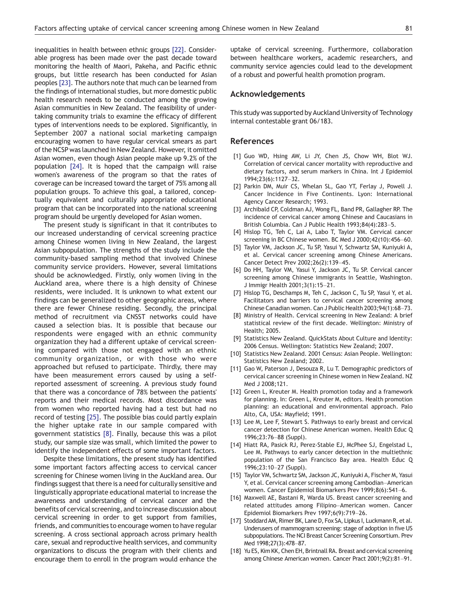<span id="page-5-0"></span>inequalities in health between ethnic groups [\[22\]](#page-6-0). Considerable progress has been made over the past decade toward monitoring the health of Maori, Pakeha, and Pacific ethnic groups, but little research has been conducted for Asian peoples [\[23\].](#page-6-0) The authors note that much can be learned from the findings of international studies, but more domestic public health research needs to be conducted among the growing Asian communities in New Zealand. The feasibility of undertaking community trials to examine the efficacy of different types of interventions needs to be explored. Significantly, in September 2007 a national social marketing campaign encouraging women to have regular cervical smears as part of the NCSP was launched in New Zealand. However, it omitted Asian women, even though Asian people make up 9.2% of the population [\[24\]](#page-6-0). It is hoped that the campaign will raise women's awareness of the program so that the rates of coverage can be increased toward the target of 75% among all population groups. To achieve this goal, a tailored, conceptually equivalent and culturally appropriate educational program that can be incorporated into the national screening program should be urgently developed for Asian women.

The present study is significant in that it contributes to our increased understanding of cervical screening practice among Chinese women living in New Zealand, the largest Asian subpopulation. The strengths of the study include the community-based sampling method that involved Chinese community service providers. However, several limitations should be acknowledged. Firstly, only women living in the Auckland area, where there is a high density of Chinese residents, were included. It is unknown to what extent our findings can be generalized to other geographic areas, where there are fewer Chinese residing. Secondly, the principal method of recruitment via CNSST networks could have caused a selection bias. It is possible that because our respondents were engaged with an ethnic community organization they had a different uptake of cervical screening compared with those not engaged with an ethnic community organization, or with those who were approached but refused to participate. Thirdly, there may have been measurement errors caused by using a selfreported assessment of screening. A previous study found that there was a concordance of 78% between the patients' reports and their medical records. Most discordance was from women who reported having had a test but had no record of testing [\[25\].](#page-6-0) The possible bias could partly explain the higher uptake rate in our sample compared with government statistics [8]. Finally, because this was a pilot study, our sample size was small, which limited the power to identify the independent effects of some important factors.

Despite these limitations, the present study has identified some important factors affecting access to cervical cancer screening for Chinese women living in the Auckland area. Our findings suggest that there is a need for culturally sensitive and linguistically appropriate educational material to increase the awareness and understanding of cervical cancer and the benefits of cervical screening, and to increase discussion about cervical screening in order to get support from families, friends, and communities to encourage women to have regular screening. A cross sectional approach across primary health care, sexual and reproductive health services, and community organizations to discuss the program with their clients and encourage them to enroll in the program would enhance the

uptake of cervical screening. Furthermore, collaboration between healthcare workers, academic researchers, and community service agencies could lead to the development of a robust and powerful health promotion program.

#### Acknowledgements

This study was supported by Auckland University of Technology internal contestable grant 06/183.

## References

- [1] Guo WD, Hsing AW, Li JY, Chen JS, Chow WH, Blot WJ. Correlation of cervical cancer mortality with reproductive and dietary factors, and serum markers in China. Int J Epidemiol 1994;23(6):1127–32.
- [2] Parkin DM, Muir CS, Whelan SL, Gao YT, Ferlay J, Powell J. Cancer Incidence in Five Continents. Lyon: International Agency Cancer Research; 1993.
- [3] Archibald CP, Coldman AJ, Wong FL, Band PR, Gallagher RP. The incidence of cervical cancer among Chinese and Caucasians in British Columbia. Can J Public Health 1993;84(4):283–5.
- [4] Hislop TG, Teh C, Lai A, Labo T, Taylor VM. Cervical cancer screening in BC Chinese women. BC Med J 2000;42(10):456–60.
- [5] Taylor VM, Jackson JC, Tu SP, Yasui Y, Schwartz SM, Kuniyuki A, et al. Cervical cancer screening among Chinese Americans. Cancer Detect Prev 2002;26(2):139–45.
- [6] Do HH, Taylor VM, Yasui Y, Jackson JC, Tu SP. Cervical cancer screening among Chinese immigrants in Seattle, Washington. J Immigr Health 2001;3(1):15–21.
- [7] Hislop TG, Deschamps M, Teh C, Jackson C, Tu SP, Yasui Y, et al. Facilitators and barriers to cervical cancer screening among Chinese Canadian women. Can J Public Health 2003;94(1):68–73.
- [8] Ministry of Health. Cervical screening in New Zealand: A brief statistical review of the first decade. Wellington: Ministry of Health; 2005.
- [9] Statistics New Zealand. QuickStats About Culture and Identity: 2006 Census. Wellington: Statistics New Zealand; 2007.
- [10] Statistics New Zealand. 2001 Census: Asian People. Wellington: Statistics New Zealand; 2002.
- [11] Gao W, Paterson J, Desouza R, Lu T. Demographic predictors of cervical cancer screening in Chinese women in New Zealand. NZ Med J 2008;121.
- [12] Green L, Kreuter M. Health promotion today and a framework for planning. In: Green L, Kreuter M, editors. Health promotion planning: an educational and environmental approach. Palo Alto, CA, USA: Mayfield; 1991.
- [13] Lee M, Lee F, Stewart S. Pathways to early breast and cervical cancer detection for Chinese American women. Health Educ Q 1996;23:76–88 (Suppl).
- [14] Hiatt RA, Pasick RJ, Perez-Stable EJ, McPhee SJ, Engelstad L, Lee M. Pathways to early cancer detection in the multiethnic population of the San Francisco Bay area. Health Educ Q 1996;23:10–27 (Suppl).
- [15] Taylor VM, Schwartz SM, Jackson JC, Kuniyuki A, Fischer M, Yasui Y, et al. Cervical cancer screening among Cambodian–American women. Cancer Epidemiol Biomarkers Prev 1999;8(6):541–6.
- [16] Maxwell AE, Bastani R, Warda US. Breast cancer screening and related attitudes among Filipino–American women. Cancer Epidemiol Biomarkers Prev 1997;6(9):719–26.
- [17] Stoddard AM, Rimer BK, Lane D, Fox SA, Lipkus I, Luckmann R, et al. Underusers of mammogram screening: stage of adoption in five US subpopulations. The NCI Breast Cancer Screening Consortium. Prev Med 1998;27(3):478–87.
- [18] Yu ES, Kim KK, Chen EH, Brintnall RA. Breast and cervical screening among Chinese American women. Cancer Pract 2001;9(2):81–91.